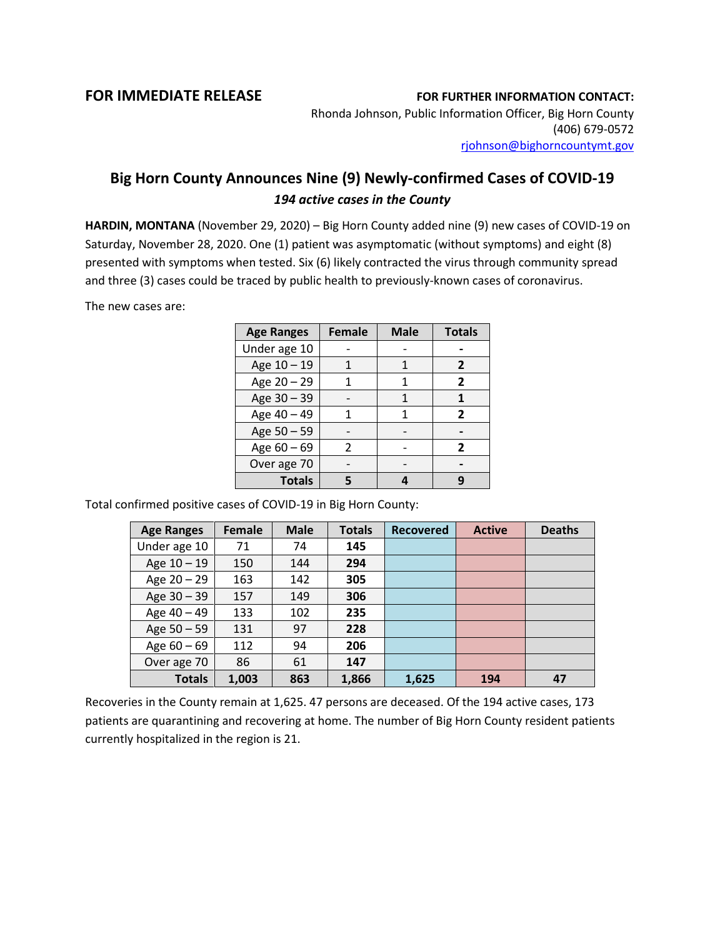## **FOR IMMEDIATE RELEASE FOR FURTHER INFORMATION CONTACT:**

Rhonda Johnson, Public Information Officer, Big Horn County (406) 679-0572 [rjohnson@bighorncountymt.gov](mailto:rjohnson@bighorncountymt.gov)

## **Big Horn County Announces Nine (9) Newly-confirmed Cases of COVID-19** *194 active cases in the County*

**HARDIN, MONTANA** (November 29, 2020) – Big Horn County added nine (9) new cases of COVID-19 on Saturday, November 28, 2020. One (1) patient was asymptomatic (without symptoms) and eight (8) presented with symptoms when tested. Six (6) likely contracted the virus through community spread and three (3) cases could be traced by public health to previously-known cases of coronavirus.

The new cases are:

| <b>Age Ranges</b> | <b>Female</b> | <b>Male</b> | <b>Totals</b> |
|-------------------|---------------|-------------|---------------|
| Under age 10      |               |             |               |
| Age 10 - 19       |               |             | 2             |
| Age 20 - 29       | 1             |             | 2             |
| Age 30 - 39       |               |             |               |
| Age 40 - 49       |               |             | 2             |
| Age 50 - 59       |               |             |               |
| Age $60 - 69$     | 2             |             | 2             |
| Over age 70       |               |             |               |
| <b>Totals</b>     |               |             |               |

Total confirmed positive cases of COVID-19 in Big Horn County:

| <b>Age Ranges</b> | Female | <b>Male</b> | <b>Totals</b> | <b>Recovered</b> | <b>Active</b> | <b>Deaths</b> |
|-------------------|--------|-------------|---------------|------------------|---------------|---------------|
| Under age 10      | 71     | 74          | 145           |                  |               |               |
| Age $10 - 19$     | 150    | 144         | 294           |                  |               |               |
| Age $20 - 29$     | 163    | 142         | 305           |                  |               |               |
| Age 30 - 39       | 157    | 149         | 306           |                  |               |               |
| Age 40 - 49       | 133    | 102         | 235           |                  |               |               |
| Age $50 - 59$     | 131    | 97          | 228           |                  |               |               |
| Age $60 - 69$     | 112    | 94          | 206           |                  |               |               |
| Over age 70       | 86     | 61          | 147           |                  |               |               |
| <b>Totals</b>     | 1,003  | 863         | 1,866         | 1,625            | 194           | 47            |

Recoveries in the County remain at 1,625. 47 persons are deceased. Of the 194 active cases, 173 patients are quarantining and recovering at home. The number of Big Horn County resident patients currently hospitalized in the region is 21.